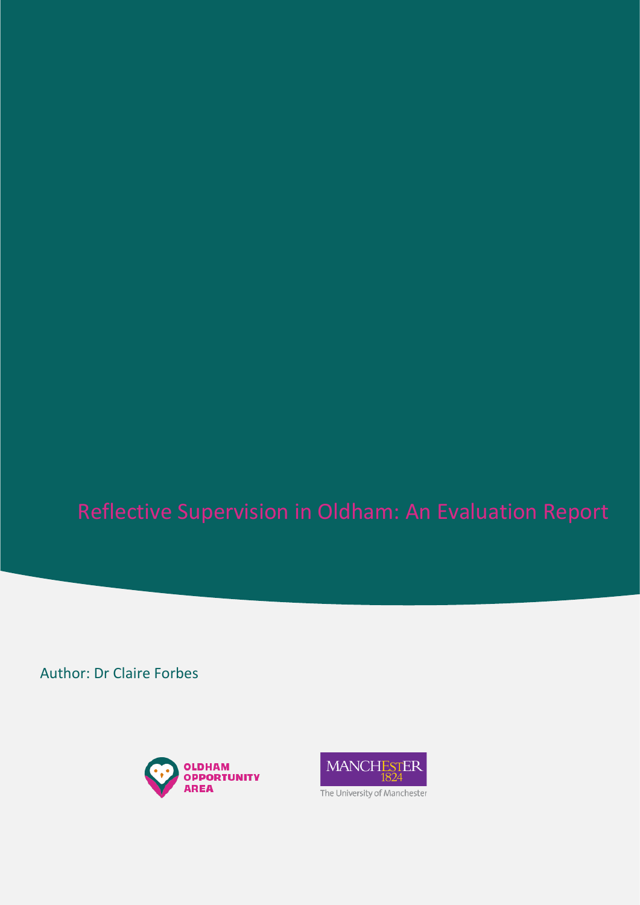Author: Dr Claire Forbes



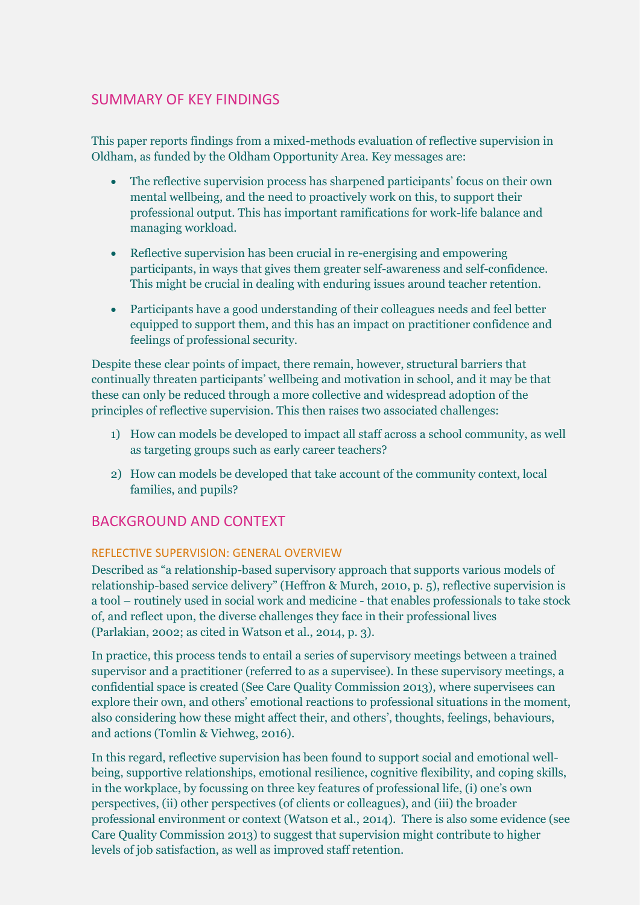# SUMMARY OF KEY FINDINGS

This paper reports findings from a mixed-methods evaluation of reflective supervision in Oldham, as funded by the Oldham Opportunity Area. Key messages are:

- The reflective supervision process has sharpened participants' focus on their own mental wellbeing, and the need to proactively work on this, to support their professional output. This has important ramifications for work-life balance and managing workload.
- Reflective supervision has been crucial in re-energising and empowering participants, in ways that gives them greater self-awareness and self-confidence. This might be crucial in dealing with enduring issues around teacher retention.
- Participants have a good understanding of their colleagues needs and feel better equipped to support them, and this has an impact on practitioner confidence and feelings of professional security.

Despite these clear points of impact, there remain, however, structural barriers that continually threaten participants' wellbeing and motivation in school, and it may be that these can only be reduced through a more collective and widespread adoption of the principles of reflective supervision. This then raises two associated challenges:

- 1) How can models be developed to impact all staff across a school community, as well as targeting groups such as early career teachers?
- 2) How can models be developed that take account of the community context, local families, and pupils?

# BACKGROUND AND CONTEXT

## REFLECTIVE SUPERVISION: GENERAL OVERVIEW

Described as "a relationship-based supervisory approach that supports various models of relationship-based service delivery" (Heffron & Murch, 2010, p. 5), reflective supervision is a tool – routinely used in social work and medicine - that enables professionals to take stock of, and reflect upon, the diverse challenges they face in their professional lives (Parlakian, 2002; as cited in Watson et al., 2014, p. 3).

In practice, this process tends to entail a series of supervisory meetings between a trained supervisor and a practitioner (referred to as a supervisee). In these supervisory meetings, a confidential space is created (See Care Quality Commission 2013), where supervisees can explore their own, and others' emotional reactions to professional situations in the moment, also considering how these might affect their, and others', thoughts, feelings, behaviours, and actions (Tomlin & Viehweg, 2016).

In this regard, reflective supervision has been found to support social and emotional wellbeing, supportive relationships, emotional resilience, cognitive flexibility, and coping skills, in the workplace, by focussing on three key features of professional life, (i) one's own perspectives, (ii) other perspectives (of clients or colleagues), and (iii) the broader professional environment or context (Watson et al., 2014). There is also some evidence (see Care Quality Commission 2013) to suggest that supervision might contribute to higher levels of job satisfaction, as well as improved staff retention.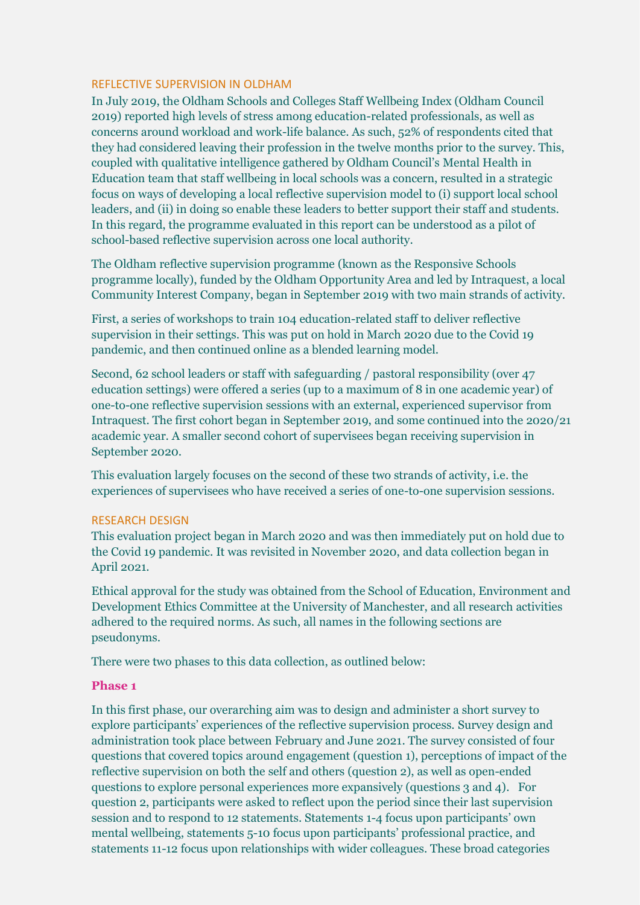#### REFLECTIVE SUPERVISION IN OLDHAM

In July 2019, the Oldham Schools and Colleges Staff Wellbeing Index (Oldham Council 2019) reported high levels of stress among education-related professionals, as well as concerns around workload and work-life balance. As such, 52% of respondents cited that they had considered leaving their profession in the twelve months prior to the survey. This, coupled with qualitative intelligence gathered by Oldham Council's Mental Health in Education team that staff wellbeing in local schools was a concern, resulted in a strategic focus on ways of developing a local reflective supervision model to (i) support local school leaders, and (ii) in doing so enable these leaders to better support their staff and students. In this regard, the programme evaluated in this report can be understood as a pilot of school-based reflective supervision across one local authority.

The Oldham reflective supervision programme (known as the Responsive Schools programme locally), funded by the Oldham Opportunity Area and led by Intraquest, a local Community Interest Company, began in September 2019 with two main strands of activity.

First, a series of workshops to train 104 education-related staff to deliver reflective supervision in their settings. This was put on hold in March 2020 due to the Covid 19 pandemic, and then continued online as a blended learning model.

Second, 62 school leaders or staff with safeguarding / pastoral responsibility (over 47 education settings) were offered a series (up to a maximum of 8 in one academic year) of one-to-one reflective supervision sessions with an external, experienced supervisor from Intraquest. The first cohort began in September 2019, and some continued into the 2020/21 academic year. A smaller second cohort of supervisees began receiving supervision in September 2020.

This evaluation largely focuses on the second of these two strands of activity, i.e. the experiences of supervisees who have received a series of one-to-one supervision sessions.

#### RESEARCH DESIGN

This evaluation project began in March 2020 and was then immediately put on hold due to the Covid 19 pandemic. It was revisited in November 2020, and data collection began in April 2021.

Ethical approval for the study was obtained from the School of Education, Environment and Development Ethics Committee at the University of Manchester, and all research activities adhered to the required norms. As such, all names in the following sections are pseudonyms.

There were two phases to this data collection, as outlined below:

#### **Phase 1**

In this first phase, our overarching aim was to design and administer a short survey to explore participants' experiences of the reflective supervision process. Survey design and administration took place between February and June 2021. The survey consisted of four questions that covered topics around engagement (question 1), perceptions of impact of the reflective supervision on both the self and others (question 2), as well as open-ended questions to explore personal experiences more expansively (questions 3 and 4). For question 2, participants were asked to reflect upon the period since their last supervision session and to respond to 12 statements. Statements 1-4 focus upon participants' own mental wellbeing, statements 5-10 focus upon participants' professional practice, and statements 11-12 focus upon relationships with wider colleagues. These broad categories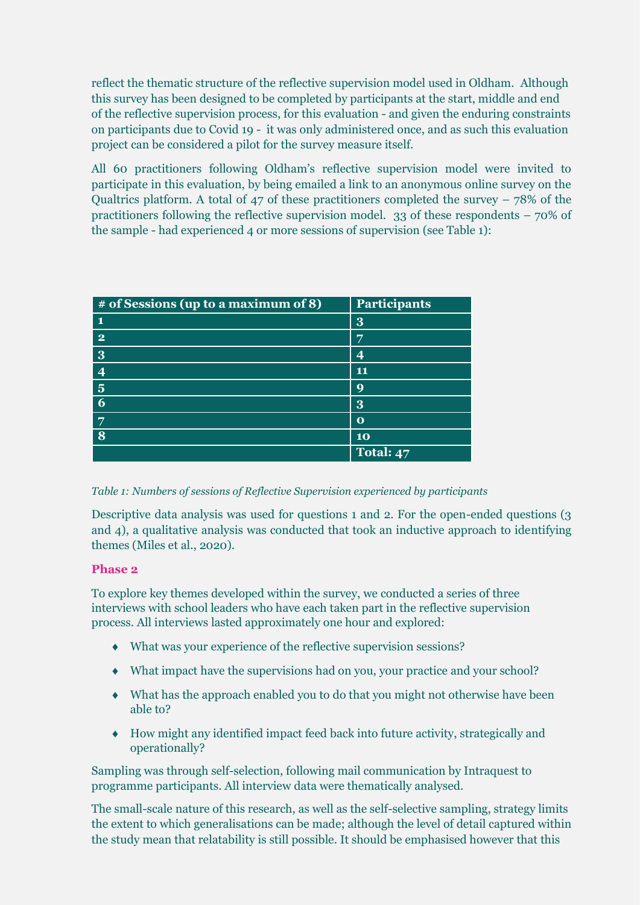reflect the thematic structure of the reflective supervision model used in Oldham. Although this survey has been designed to be completed by participants at the start, middle and end of the reflective supervision process, for this evaluation - and given the enduring constraints on participants due to Covid 19 - it was only administered once, and as such this evaluation project can be considered a pilot for the survey measure itself.

All 60 practitioners following Oldham's reflective supervision model were invited to participate in this evaluation, by being emailed a link to an anonymous online survey on the Qualtrics platform. A total of 47 of these practitioners completed the survey – 78% of the practitioners following the reflective supervision model. 33 of these respondents – 70% of the sample - had experienced 4 or more sessions of supervision (see Table 1):

| # of Sessions (up to a maximum of 8) | Participants |
|--------------------------------------|--------------|
| 1                                    | 3            |
| $\bf{2}$                             | 7            |
| 3                                    | Δ            |
| $\boldsymbol{\Delta}$                | 11           |
| $\overline{\mathbf{5}}$              | 9            |
| 6                                    | 3            |
| $\overline{7}$                       | $\mathbf 0$  |
| 8                                    | 10           |
|                                      | Total: 47    |

## *Table 1: Numbers of sessions of Reflective Supervision experienced by participants*

Descriptive data analysis was used for questions 1 and 2. For the open-ended questions (3 and 4), a qualitative analysis was conducted that took an inductive approach to identifying themes (Miles et al., 2020).

## **Phase 2**

To explore key themes developed within the survey, we conducted a series of three interviews with school leaders who have each taken part in the reflective supervision process. All interviews lasted approximately one hour and explored:

- What was your experience of the reflective supervision sessions?
- What impact have the supervisions had on you, your practice and your school?
- What has the approach enabled you to do that you might not otherwise have been able to?
- How might any identified impact feed back into future activity, strategically and operationally?

Sampling was through self-selection, following mail communication by Intraquest to programme participants. All interview data were thematically analysed.

The small-scale nature of this research, as well as the self-selective sampling, strategy limits the extent to which generalisations can be made; although the level of detail captured within the study mean that relatability is still possible. It should be emphasised however that this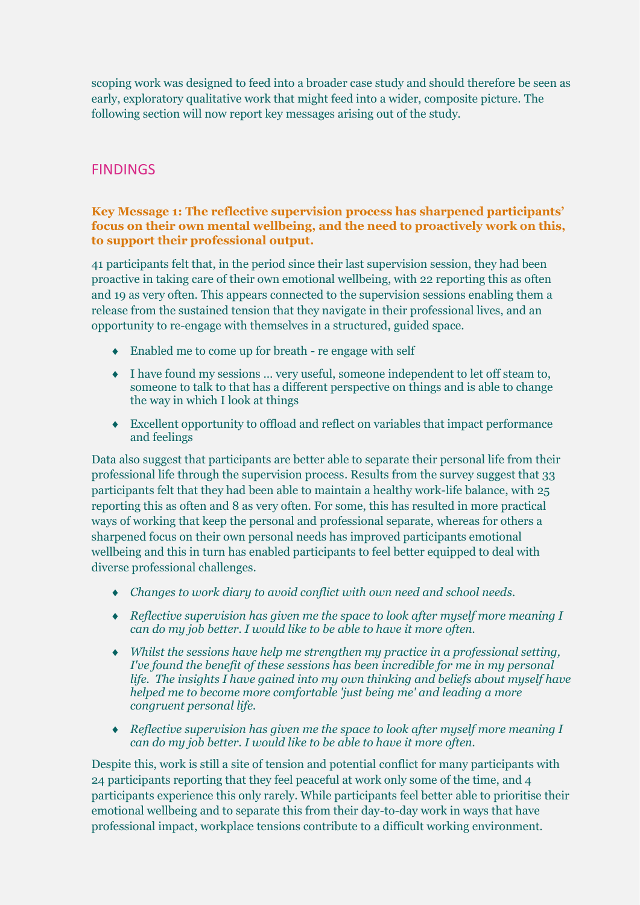scoping work was designed to feed into a broader case study and should therefore be seen as early, exploratory qualitative work that might feed into a wider, composite picture. The following section will now report key messages arising out of the study.

# FINDINGS

## **Key Message 1: The reflective supervision process has sharpened participants' focus on their own mental wellbeing, and the need to proactively work on this, to support their professional output.**

41 participants felt that, in the period since their last supervision session, they had been proactive in taking care of their own emotional wellbeing, with 22 reporting this as often and 19 as very often. This appears connected to the supervision sessions enabling them a release from the sustained tension that they navigate in their professional lives, and an opportunity to re-engage with themselves in a structured, guided space.

- Enabled me to come up for breath re engage with self
- I have found my sessions … very useful, someone independent to let off steam to, someone to talk to that has a different perspective on things and is able to change the way in which I look at things
- Excellent opportunity to offload and reflect on variables that impact performance and feelings

Data also suggest that participants are better able to separate their personal life from their professional life through the supervision process. Results from the survey suggest that 33 participants felt that they had been able to maintain a healthy work-life balance, with 25 reporting this as often and 8 as very often. For some, this has resulted in more practical ways of working that keep the personal and professional separate, whereas for others a sharpened focus on their own personal needs has improved participants emotional wellbeing and this in turn has enabled participants to feel better equipped to deal with diverse professional challenges.

- *Changes to work diary to avoid conflict with own need and school needs.*
- *Reflective supervision has given me the space to look after myself more meaning I can do my job better. I would like to be able to have it more often.*
- *Whilst the sessions have help me strengthen my practice in a professional setting, I've found the benefit of these sessions has been incredible for me in my personal life. The insights I have gained into my own thinking and beliefs about myself have helped me to become more comfortable 'just being me' and leading a more congruent personal life.*
- *Reflective supervision has given me the space to look after myself more meaning I can do my job better. I would like to be able to have it more often.*

Despite this, work is still a site of tension and potential conflict for many participants with 24 participants reporting that they feel peaceful at work only some of the time, and 4 participants experience this only rarely. While participants feel better able to prioritise their emotional wellbeing and to separate this from their day-to-day work in ways that have professional impact, workplace tensions contribute to a difficult working environment.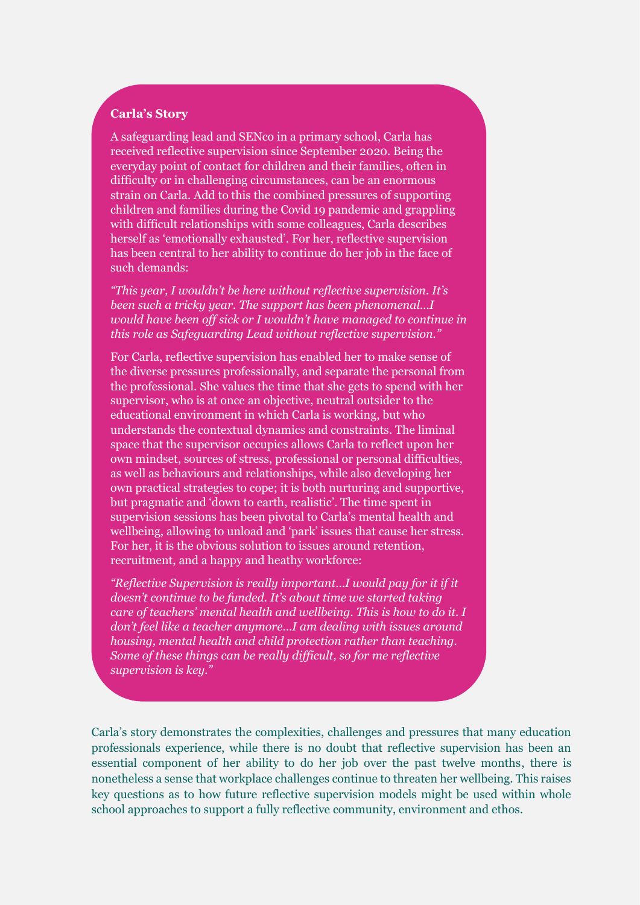## **Carla's Story**

A safeguarding lead and SENco in a primary school, Carla has received reflective supervision since September 2020. Being the everyday point of contact for children and their families, often in difficulty or in challenging circumstances, can be an enormous strain on Carla. Add to this the combined pressures of supporting children and families during the Covid 19 pandemic and grappling with difficult relationships with some colleagues, Carla describes herself as 'emotionally exhausted'. For her, reflective supervision has been central to her ability to continue do her job in the face of such demands:

*"This year, I wouldn't be here without reflective supervision. It's been such a tricky year. The support has been phenomenal…I would have been off sick or I wouldn't have managed to continue in this role as Safeguarding Lead without reflective supervision."*

For Carla, reflective supervision has enabled her to make sense of the diverse pressures professionally, and separate the personal from the professional. She values the time that she gets to spend with her supervisor, who is at once an objective, neutral outsider to the educational environment in which Carla is working, but who understands the contextual dynamics and constraints. The liminal space that the supervisor occupies allows Carla to reflect upon her own mindset, sources of stress, professional or personal difficulties, as well as behaviours and relationships, while also developing her own practical strategies to cope; it is both nurturing and supportive, but pragmatic and 'down to earth, realistic'. The time spent in supervision sessions has been pivotal to Carla's mental health and wellbeing, allowing to unload and 'park' issues that cause her stress. For her, it is the obvious solution to issues around retention, recruitment, and a happy and heathy workforce:

*"Reflective Supervision is really important…I would pay for it if it doesn't continue to be funded. It's about time we started taking care of teachers' mental health and wellbeing. This is how to do it. I don't feel like a teacher anymore…I am dealing with issues around housing, mental health and child protection rather than teaching. Some of these things can be really difficult, so for me reflective supervision is key."*

Carla's story demonstrates the complexities, challenges and pressures that many education professionals experience, while there is no doubt that reflective supervision has been an essential component of her ability to do her job over the past twelve months, there is nonetheless a sense that workplace challenges continue to threaten her wellbeing. This raises key questions as to how future reflective supervision models might be used within whole school approaches to support a fully reflective community, environment and ethos.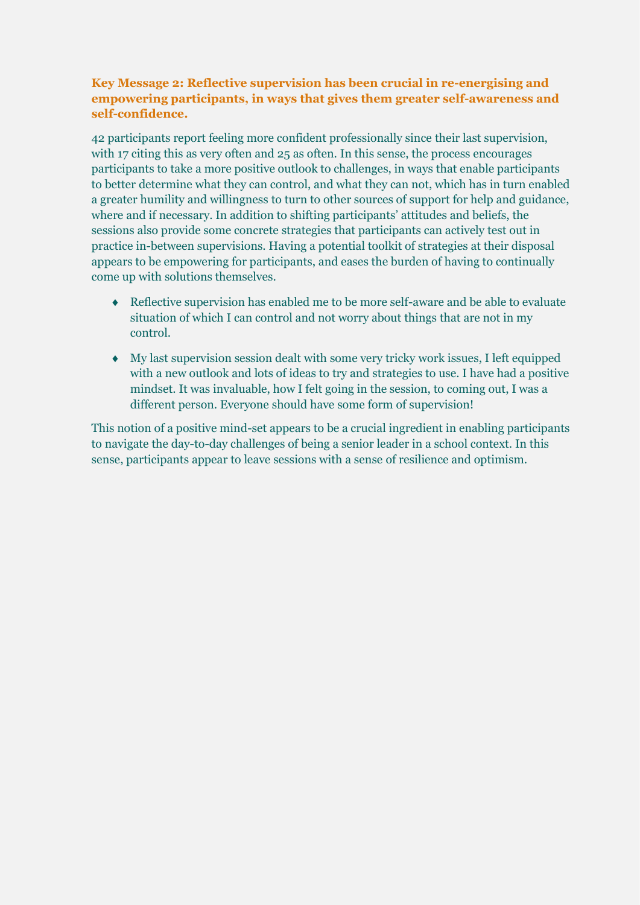## **Key Message 2: Reflective supervision has been crucial in re-energising and empowering participants, in ways that gives them greater self-awareness and self-confidence.**

42 participants report feeling more confident professionally since their last supervision, with 17 citing this as very often and 25 as often. In this sense, the process encourages participants to take a more positive outlook to challenges, in ways that enable participants to better determine what they can control, and what they can not, which has in turn enabled a greater humility and willingness to turn to other sources of support for help and guidance, where and if necessary. In addition to shifting participants' attitudes and beliefs, the sessions also provide some concrete strategies that participants can actively test out in practice in-between supervisions. Having a potential toolkit of strategies at their disposal appears to be empowering for participants, and eases the burden of having to continually come up with solutions themselves.

- Reflective supervision has enabled me to be more self-aware and be able to evaluate situation of which I can control and not worry about things that are not in my control.
- My last supervision session dealt with some very tricky work issues, I left equipped with a new outlook and lots of ideas to try and strategies to use. I have had a positive mindset. It was invaluable, how I felt going in the session, to coming out, I was a different person. Everyone should have some form of supervision!

This notion of a positive mind-set appears to be a crucial ingredient in enabling participants to navigate the day-to-day challenges of being a senior leader in a school context. In this sense, participants appear to leave sessions with a sense of resilience and optimism.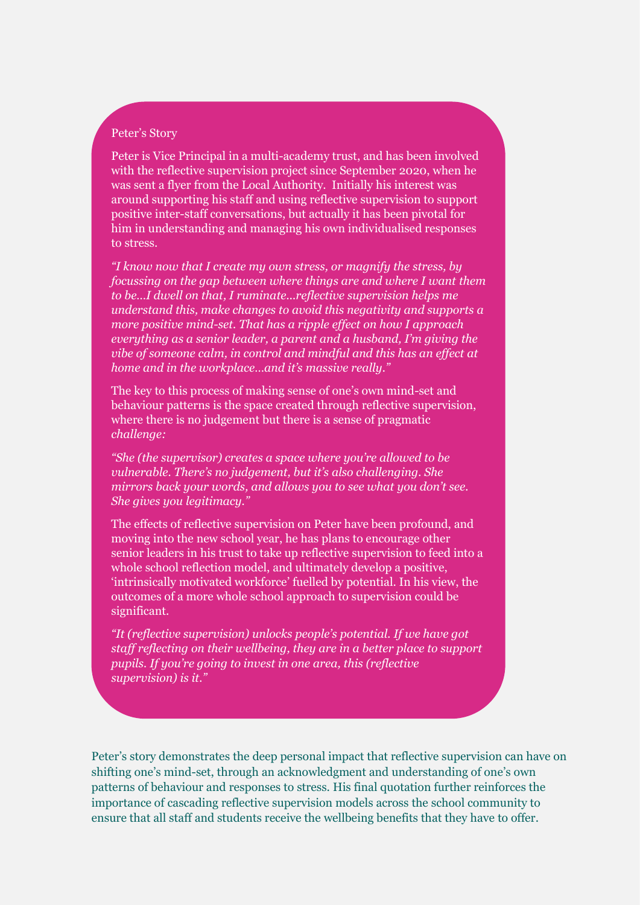#### Peter's Story

Peter is Vice Principal in a multi-academy trust, and has been involved with the reflective supervision project since September 2020, when he was sent a flyer from the Local Authority. Initially his interest was around supporting his staff and using reflective supervision to support positive inter-staff conversations, but actually it has been pivotal for him in understanding and managing his own individualised responses to stress.

*"I know now that I create my own stress, or magnify the stress, by focussing on the gap between where things are and where I want them to be…I dwell on that, I ruminate...reflective supervision helps me understand this, make changes to avoid this negativity and supports a more positive mind-set. That has a ripple effect on how I approach everything as a senior leader, a parent and a husband, I'm giving the vibe of someone calm, in control and mindful and this has an effect at home and in the workplace…and it's massive really."*

The key to this process of making sense of one's own mind-set and behaviour patterns is the space created through reflective supervision, where there is no judgement but there is a sense of pragmatic *challenge:*

*"She (the supervisor) creates a space where you're allowed to be vulnerable. There's no judgement, but it's also challenging. She mirrors back your words, and allows you to see what you don't see. She gives you legitimacy."*

The effects of reflective supervision on Peter have been profound, and moving into the new school year, he has plans to encourage other senior leaders in his trust to take up reflective supervision to feed into a whole school reflection model, and ultimately develop a positive. 'intrinsically motivated workforce' fuelled by potential. In his view, the outcomes of a more whole school approach to supervision could be significant.

*"It (reflective supervision) unlocks people's potential. If we have got staff reflecting on their wellbeing, they are in a better place to support pupils. If you're going to invest in one area, this (reflective supervision) is it."*

Peter's story demonstrates the deep personal impact that reflective supervision can have on shifting one's mind-set, through an acknowledgment and understanding of one's own patterns of behaviour and responses to stress. His final quotation further reinforces the importance of cascading reflective supervision models across the school community to ensure that all staff and students receive the wellbeing benefits that they have to offer.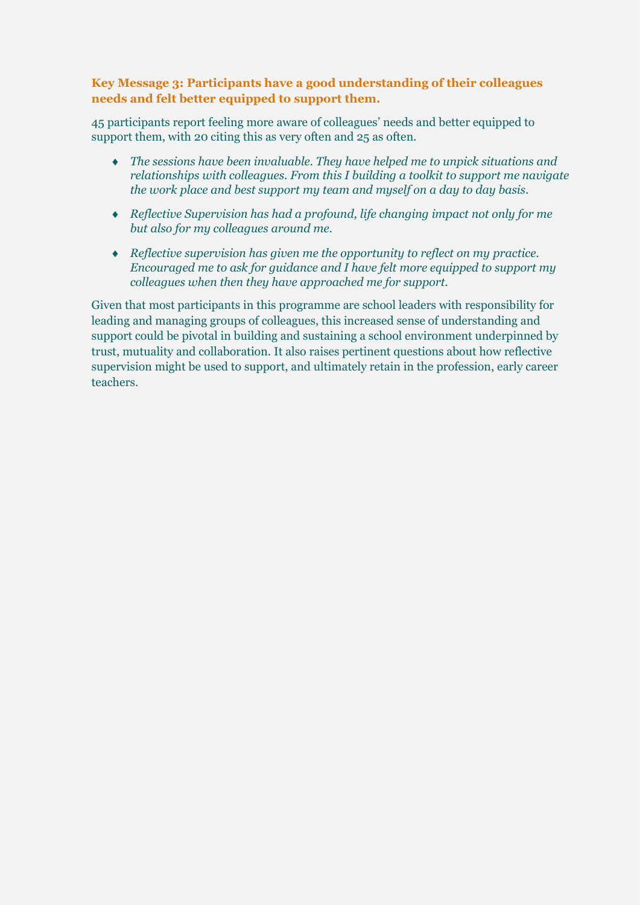## **Key Message 3: Participants have a good understanding of their colleagues needs and felt better equipped to support them.**

45 participants report feeling more aware of colleagues' needs and better equipped to support them, with 20 citing this as very often and 25 as often.

- *The sessions have been invaluable. They have helped me to unpick situations and relationships with colleagues. From this I building a toolkit to support me navigate the work place and best support my team and myself on a day to day basis.*
- *Reflective Supervision has had a profound, life changing impact not only for me but also for my colleagues around me.*
- *Reflective supervision has given me the opportunity to reflect on my practice. Encouraged me to ask for guidance and I have felt more equipped to support my colleagues when then they have approached me for support.*

Given that most participants in this programme are school leaders with responsibility for leading and managing groups of colleagues, this increased sense of understanding and support could be pivotal in building and sustaining a school environment underpinned by trust, mutuality and collaboration. It also raises pertinent questions about how reflective supervision might be used to support, and ultimately retain in the profession, early career teachers.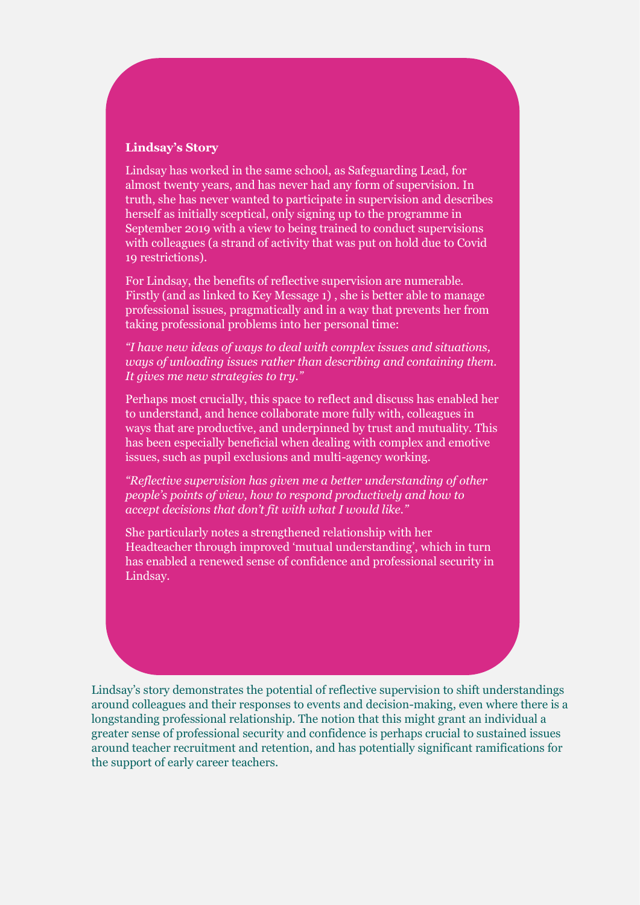## **Lindsay's Story**

Lindsay has worked in the same school, as Safeguarding Lead, for almost twenty years, and has never had any form of supervision. In truth, she has never wanted to participate in supervision and describes herself as initially sceptical, only signing up to the programme in September 2019 with a view to being trained to conduct supervisions with colleagues (a strand of activity that was put on hold due to Covid 19 restrictions).

For Lindsay, the benefits of reflective supervision are numerable. Firstly (and as linked to Key Message 1) , she is better able to manage professional issues, pragmatically and in a way that prevents her from taking professional problems into her personal time:

*"I have new ideas of ways to deal with complex issues and situations, ways of unloading issues rather than describing and containing them. It gives me new strategies to try."*

Perhaps most crucially, this space to reflect and discuss has enabled her to understand, and hence collaborate more fully with, colleagues in ways that are productive, and underpinned by trust and mutuality. This has been especially beneficial when dealing with complex and emotive issues, such as pupil exclusions and multi-agency working.

*"Reflective supervision has given me a better understanding of other people's points of view, how to respond productively and how to accept decisions that don't fit with what I would like."*

She particularly notes a strengthened relationship with her Headteacher through improved 'mutual understanding', which in turn has enabled a renewed sense of confidence and professional security in Lindsay.

Lindsay's story demonstrates the potential of reflective supervision to shift understandings around colleagues and their responses to events and decision-making, even where there is a longstanding professional relationship. The notion that this might grant an individual a greater sense of professional security and confidence is perhaps crucial to sustained issues around teacher recruitment and retention, and has potentially significant ramifications for the support of early career teachers.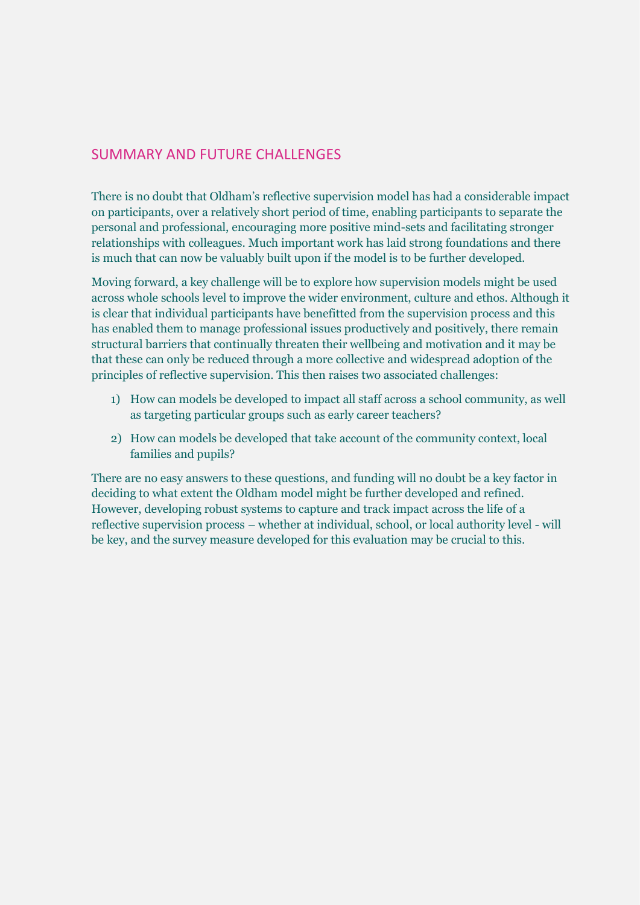# SUMMARY AND FUTURE CHALLENGES

There is no doubt that Oldham's reflective supervision model has had a considerable impact on participants, over a relatively short period of time, enabling participants to separate the personal and professional, encouraging more positive mind-sets and facilitating stronger relationships with colleagues. Much important work has laid strong foundations and there is much that can now be valuably built upon if the model is to be further developed.

Moving forward, a key challenge will be to explore how supervision models might be used across whole schools level to improve the wider environment, culture and ethos. Although it is clear that individual participants have benefitted from the supervision process and this has enabled them to manage professional issues productively and positively, there remain structural barriers that continually threaten their wellbeing and motivation and it may be that these can only be reduced through a more collective and widespread adoption of the principles of reflective supervision. This then raises two associated challenges:

- 1) How can models be developed to impact all staff across a school community, as well as targeting particular groups such as early career teachers?
- 2) How can models be developed that take account of the community context, local families and pupils?

There are no easy answers to these questions, and funding will no doubt be a key factor in deciding to what extent the Oldham model might be further developed and refined. However, developing robust systems to capture and track impact across the life of a reflective supervision process – whether at individual, school, or local authority level - will be key, and the survey measure developed for this evaluation may be crucial to this.